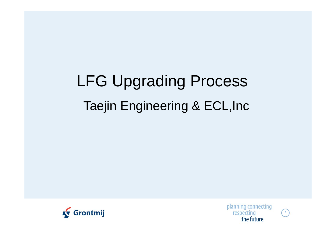# LFG Upgrading Process Taejin Engineering & ECL,Inc





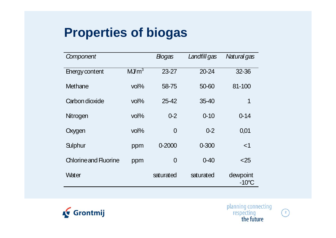## **Properties of biogas**

| Component                    |                  | <b>Bogas</b>   | Landfill gas | Natural gas                 |
|------------------------------|------------------|----------------|--------------|-----------------------------|
| Energy content               | MJm <sup>3</sup> | $23 - 27$      | 20-24        | 32-36                       |
| Methane                      | $vol\%$          | 58-75          | 50-60        | 81-100                      |
| Carbon dioxide               | $vol\%$          | 25-42          | $35 - 40$    | 1                           |
| Nitrogen                     | $vol\%$          | $0 - 2$        | $0 - 10$     | $0 - 14$                    |
| Oxygen                       | $vol\%$          | $\overline{0}$ | $0 - 2$      | 0,01                        |
| Sulphur                      | ppm              | 0-2000         | $0 - 300$    | $<$ 1                       |
| <b>Chlorine and Fluorine</b> | ppm              | $\overline{0}$ | $0 - 40$     | $<$ 25                      |
| Water                        |                  | saturated      | saturated    | dewpoint<br>$-10^{\circ}$ C |





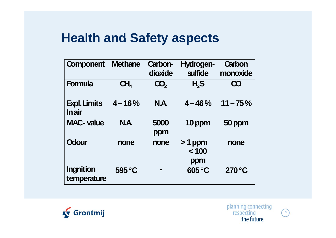#### **Health and Safety aspects**

| <b>Component</b>                      | <b>Methane</b>  | Carbon-<br>dioxide | Hydrogen-<br><b>sulfide</b> | Carbon<br>monoxide |
|---------------------------------------|-----------------|--------------------|-----------------------------|--------------------|
| <b>Formula</b>                        | CH <sub>4</sub> | <b>CO</b> ,        | H <sub>2</sub> S            | CO                 |
| <b>Expl. Limits</b><br><b>I</b> n air | $4 - 16%$       | <b>N.A.</b>        | $4 - 46\%$                  | $11 - 75\%$        |
| <b>MAC-value</b>                      | <b>N.A.</b>     | 5000<br>ppm        | 10 ppm                      | 50 ppm             |
| <b>Odour</b>                          | none            | none               | $>1$ ppm<br>< 100<br>ppm    | none               |
| <b>Ingnition</b><br>temperature       | 595 °C          |                    | 605 °C                      | $270^{\circ}$ C    |



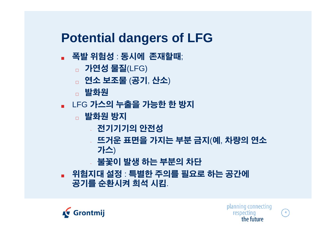### **Potential dangers of LFG**

- 폭발 위험성 : 동시에 존재할때;
	- **가연성 물질(LFG)**
	- □ 연소 보조물 (공기, 산소)
	- **□ 발화원**
- LFG 가스의 누출을 가능한 한 방지
	- □ 발화원 방지
		- ~ 전기기기의 안전성
		- 뜨거운 표면을 가지는 부분 금지 ( 예, 차량의 연소 가스 )
		- ~ 불꽃이 발생 하는 부분의 차단
- <sup>J</sup> 위험지대 설정 : 특별한 주의를 필요로 하는 공간에 공기를 순환시켜 희석 시킴.





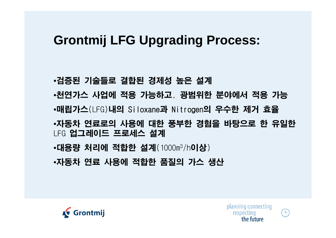#### **Grontmij LFG Upgrading Process:**

•검증된 기술들로 결합된 경제성 높은 설계 •천연가스 사업에 적용 가능하고, 광범위한 분야에서 적용 가능 •매립가스(LFG)내의 Siloxane 과 Nitrogen의 우수한 제거 효율 •자동차 연료로의 사용에 대한 풍부한 경험을 바탕으로 한 유일한 LFG 업그레이드 프로세스 설계 •대용량 처리에 적합한 설계(1000m<sup>3</sup>/h**이상**) •자동차 연료 사용에 적합한 품질의 가스 생산



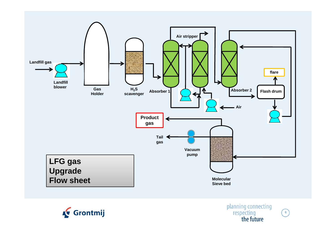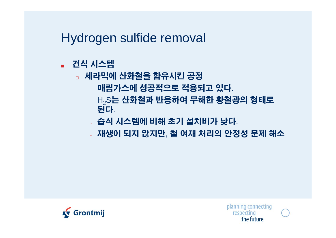Hydrogen sulfide removal

- 건식 시스템
	- □ 세라믹에 산화철을 함유시킨 공정
		- 매립가스에 성공적으로 적 용되고 있 다.
		- $_{\rm x}$  H $_{\rm 2}$ S는 산화철과 반응하여 무해한 황철광의 형태로 된다.
		- ~ 습식 시스템에 비해 초기 설치비가 낮다.
		- 재생이 되지 않지만, 철 여재 처리의 안정성 문제 해소

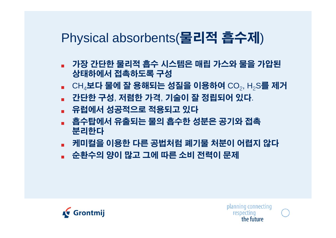



- <sup>J</sup> 순환수의 양이 많고 그에 따른 소비 전력이 문제
- 분리한다 - 케미컬을 이용한 다른 공법처럼 폐기물 처분이 어렵지 않다
- <sup>J</sup> 흡수탑에서 유출되는 물의 흡수한 성분은 공기와 접촉
- 유럽에서 성공적으로 적용되고 있다
- 간단한 구성, 저렴한 가격, 기술이 잘 정립되어 있다.
- 상태하에서 접촉하도록 구성  $\blacksquare$  CH $_4$ 보다 물에 잘 용해되는 성질을 이용하여 CO $_2$ , H $_2$ S를 제거
- <sup>J</sup> 가장 간단한 물리적 흡수 시스템은 매립 가스와 물을 가압된

# Physical absorbents(물리적 흡수제)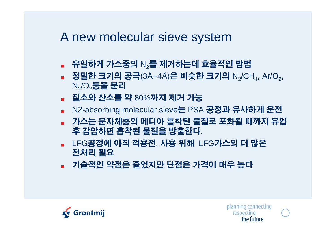#### A new molecular sieve system

- $\Box$  유일하게 가스중의  $\mathsf{N}_2$ 를 제거하는데 효율적인 방법
- 정밀한 크기의 공극(3Å~4Å)은 비슷한 크기의 N $_2$ /CH $_4$ , Ar/O $_2^\circ$ ,  $\mathsf{N}_2\!\!/\!\mathsf{O}_2$ 등을 분리
- 질소와 산소를 약 80%까지 제거 가능
- N2-absorbing molecular sieve**는** PSA **공정과 유사하게 운전**
- 가스는 분자체층의 메디아 흡착된 물질로 포화될 때까지 유입 후 감압하면 흡착된 물질을 방출한다.
- LFG공정에 아직 적용전. 사용 위해 LFG가스의 더 많은 전처리 필요
- 기술적인 약점은 줄었지만 단점은 가격이 매우 높다



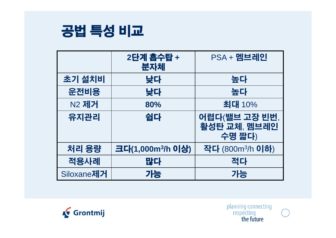

|                    | 2단계 흡수탑 +<br>분자체              | <b>PSA + 멤브레인</b>                       |
|--------------------|-------------------------------|-----------------------------------------|
| 초기 설치비             | 낮다                            | 높다                                      |
| 운전비용               | 낮다                            | 높다                                      |
| N2 제거              | 80%                           | 최대 10%                                  |
| 유지관리               | 쉽다                            | 어렵다(밸브 고장 빈번,<br>활성탄 교체, 멤브레인<br>수명 짧다) |
| 처리 용량              | 크다(1,000m <sup>3</sup> /h 이상) | 작다 (800m <sup>3</sup> /h <b>이하</b> )    |
| 적용사례               | 많다                            | 적다                                      |
| Siloxane <b>제거</b> | 가능                            | 가능                                      |





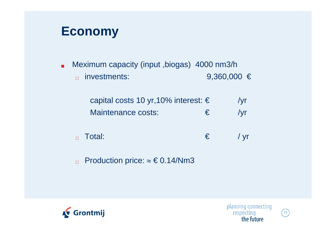#### **Economy**

**Meximum capacity (input ,biogas) 4000 nm3/h**  $\Box$  investments: 9,360,000  $\in$ 

| capital costs 10 yr, 10% interest: $\epsilon$ |            | /yr |
|-----------------------------------------------|------------|-----|
| Maintenance costs:                            | $\epsilon$ | /yr |

 $F_{\Box}$  Total:  $F_{\Box}$  / yr

□ Production price:  $\approx$  € 0.14/Nm3



**11**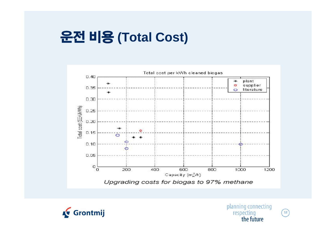# 운전 비용 **(Total Cost)**







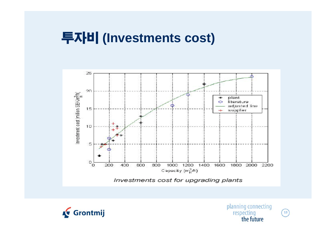## 투자비 **(Investments cost)**







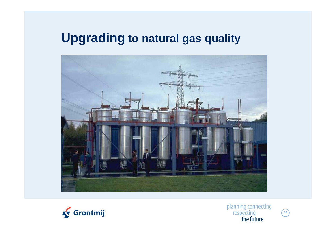#### **Upgrading to natural gas quality**





planning connecting<br>respecting<br>the future

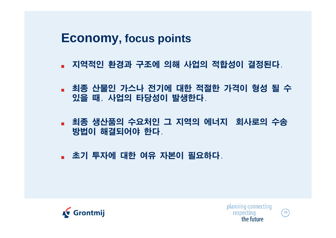**Economy, focus points**

- 지역적인 환경과 구조에 의해 사업의 적합성이 결정된다.
- 최종 산물인 가스나 전기에 대한 적절한 가격이 형성 될 수 있을 때, 사업의 타당성이 발생한다.
- 최종 생산품의 수요처인 그 지역의 에너지 회사로의 수송 방법이 해결되어야 한다.
- 초기 투자에 대한 여유 자본이 필요하다.





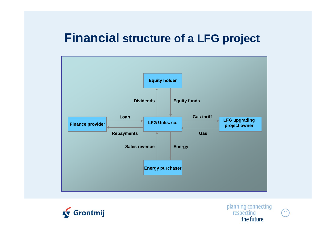#### **Financial structure of <sup>a</sup> of LFG project**